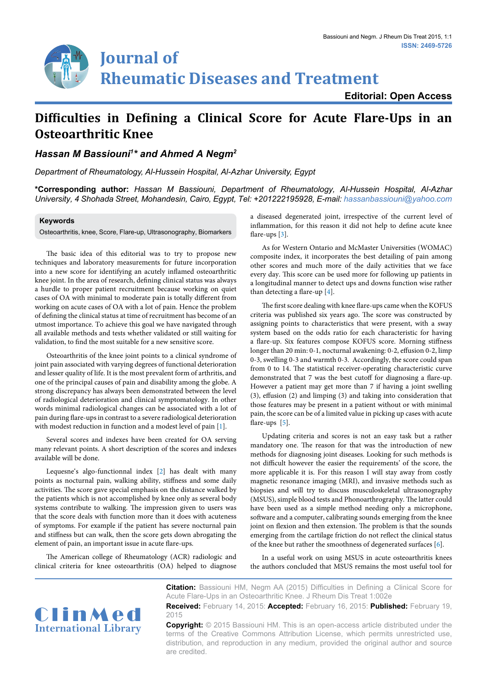# **Journal of Rheumatic Diseases and Treatment**

**Editorial: Open Access**

## **Difficulties in Defining a Clinical Score for Acute Flare-Ups in an Osteoarthritic Knee**

## *Hassan M Bassiouni1 \* and Ahmed A Negm2*

*Department of Rheumatology, Al-Hussein Hospital, Al-Azhar University, Egypt*

**\*Corresponding author:** *Hassan M Bassiouni, Department of Rheumatology, Al-Hussein Hospital, Al-Azhar University, 4 Shohada Street, Mohandesin, Cairo, Egypt, Tel: +201222195928, E-mail: hassanbassiouni@yahoo.com*

#### **Keywords**

Osteoarthritis, knee, Score, Flare-up, Ultrasonography, Biomarkers

The basic idea of this editorial was to try to propose new techniques and laboratory measurements for future incorporation into a new score for identifying an acutely inflamed osteoarthritic knee joint. In the area of research, defining clinical status was always a hurdle to proper patient recruitment because working on quiet cases of OA with minimal to moderate pain is totally different from working on acute cases of OA with a lot of pain. Hence the problem of defining the clinical status at time of recruitment has become of an utmost importance. To achieve this goal we have navigated through all available methods and tests whether validated or still waiting for validation, to find the most suitable for a new sensitive score.

Osteoarthritis of the knee joint points to a clinical syndrome of joint pain associated with varying degrees of functional deterioration and lesser quality of life. It is the most prevalent form of arthritis, and one of the principal causes of pain and disability among the globe. A strong discrepancy has always been demonstrated between the level of radiological deterioration and clinical symptomatology. In other words minimal radiological changes can be associated with a lot of pain during flare-ups in contrast to a severe radiological deterioration with modest reduction in function and a modest level of pain [[1](#page-1-4)].

Several scores and indexes have been created for OA serving many relevant points. A short description of the scores and indexes available will be done.

Lequesne's algo-functionnal index [[2](#page-1-5)] has dealt with many points as nocturnal pain, walking ability, stiffness and some daily activities. The score gave special emphasis on the distance walked by the patients which is not accomplished by knee only as several body systems contribute to walking. The impression given to users was that the score deals with function more than it does with acuteness of symptoms. For example if the patient has severe nocturnal pain and stiffness but can walk, then the score gets down abrogating the element of pain, an important issue in acute flare-ups.

The American college of Rheumatology (ACR) radiologic and clinical criteria for knee osteoarthritis (OA) helped to diagnose

a diseased degenerated joint, irrespective of the current level of inflammation, for this reason it did not help to define acute knee flare-ups [\[3\]](#page-1-0).

As for Western Ontario and McMaster Universities (WOMAC) composite index, it incorporates the best detailing of pain among other scores and much more of the daily activities that we face every day. This score can be used more for following up patients in a longitudinal manner to detect ups and downs function wise rather than detecting a flare-up [[4\]](#page-1-1).

The first score dealing with knee flare-ups came when the KOFUS criteria was published six years ago. The score was constructed by assigning points to characteristics that were present, with a sway system based on the odds ratio for each characteristic for having a flare-up. Six features compose KOFUS score. Morning stiffness longer than 20 min: 0-1, nocturnal awakening: 0-2, effusion 0-2, limp 0-3, swelling 0-3 and warmth 0-3. Accordingly, the score could span from 0 to 14. The statistical receiver-operating characteristic curve demonstrated that 7 was the best cutoff for diagnosing a flare-up. However a patient may get more than 7 if having a joint swelling (3), effusion (2) and limping (3) and taking into consideration that those features may be present in a patient without or with minimal pain, the score can be of a limited value in picking up cases with acute flare-ups [\[5\]](#page-1-2).

Updating criteria and scores is not an easy task but a rather mandatory one. The reason for that was the introduction of new methods for diagnosing joint diseases. Looking for such methods is not difficult however the easier the requirements' of the score, the more applicable it is. For this reason I will stay away from costly magnetic resonance imaging (MRI), and invasive methods such as biopsies and will try to discuss musculoskeletal ultrasonography (MSUS), simple blood tests and Phonoarthrography. The latter could have been used as a simple method needing only a microphone, software and a computer, calibrating sounds emerging from the knee joint on flexion and then extension. The problem is that the sounds emerging from the cartilage friction do not reflect the clinical status of the knee but rather the smoothness of degenerated surfaces [[6](#page-1-3)].

In a useful work on using MSUS in acute osteoarthritis knees the authors concluded that MSUS remains the most useful tool for



**Citation:** Bassiouni HM, Negm AA (2015) Difficulties in Defining a Clinical Score for Acute Flare-Ups in an Osteoarthritic Knee. J Rheum Dis Treat 1:002e **Received:** February 14, 2015: **Accepted:** February 16, 2015: **Published:** February 19,

2015

**Copyright:** © 2015 Bassiouni HM. This is an open-access article distributed under the terms of the Creative Commons Attribution License, which permits unrestricted use, distribution, and reproduction in any medium, provided the original author and source are credited.